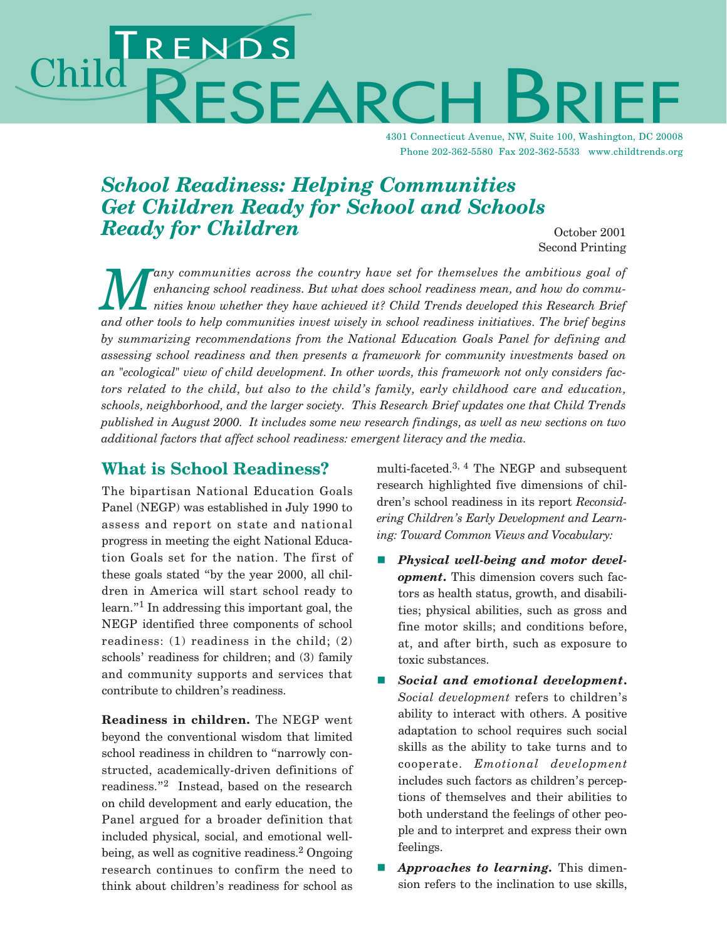# RENDS<br>RESEARC Child

4301 Connecticut Avenue, NW, Suite 100, Washington, DC 20008 Phone 202-362-5580 Fax 202-362-5533 www.childtrends.org

## *School Readiness: Helping Communities Get Children Ready for School and Schools Ready for Children* October 2001

Second Printing

*Many communities across the country have set for themselves the ambitious goal of enhancing school readiness. But what does school readiness mean, and how do communities in the matter of the set of the set of the set of t enhancing school readiness. But what does school readiness mean, and how do communities know whether they have achieved it? Child Trends developed this Research Brief and other tools to help communities invest wisely in school readiness initiatives. The brief begins by summarizing recommendations from the National Education Goals Panel for defining and assessing school readiness and then presents a framework for community investments based on an "ecological" view of child development. In other words, this framework not only considers factors related to the child, but also to the child's family, early childhood care and education, schools, neighborhood, and the larger society. This Research Brief updates one that Child Trends published in August 2000. It includes some new research findings, as well as new sections on two additional factors that affect school readiness: emergent literacy and the media.*

#### **What is School Readiness?**

The bipartisan National Education Goals Panel (NEGP) was established in July 1990 to assess and report on state and national progress in meeting the eight National Education Goals set for the nation. The first of these goals stated "by the year 2000, all children in America will start school ready to learn."1 In addressing this important goal, the NEGP identified three components of school readiness: (1) readiness in the child; (2) schools' readiness for children; and (3) family and community supports and services that contribute to children's readiness.

**Readiness in children.** The NEGP went beyond the conventional wisdom that limited school readiness in children to "narrowly constructed, academically-driven definitions of readiness."<sup>2</sup> Instead, based on the research on child development and early education, the Panel argued for a broader definition that included physical, social, and emotional wellbeing, as well as cognitive readiness.<sup>2</sup> Ongoing research continues to confirm the need to think about children's readiness for school as

multi-faceted.3, 4 The NEGP and subsequent research highlighted five dimensions of children's school readiness in its report *Reconsidering Children's Early Development and Learning: Toward Common Views and Vocabulary:*

- - *Physical well-being and motor development***.** This dimension covers such factors as health status, growth, and disabilities; physical abilities, such as gross and fine motor skills; and conditions before, at, and after birth, such as exposure to toxic substances.
- - *Social and emotional development***.** *Social development* refers to children's ability to interact with others. A positive adaptation to school requires such social skills as the ability to take turns and to cooperate. *Emotional development* includes such factors as children's perceptions of themselves and their abilities to both understand the feelings of other people and to interpret and express their own feelings.
- - *Approaches to learning.* This dimension refers to the inclination to use skills,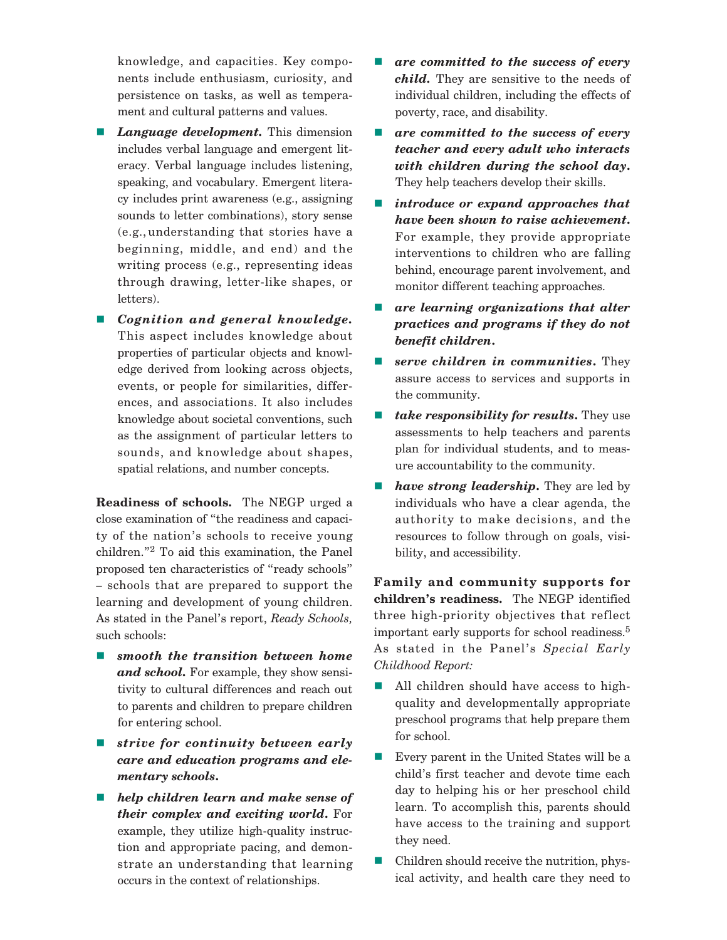knowledge, and capacities. Key components include enthusiasm, curiosity, and persistence on tasks, as well as temperament and cultural patterns and values.

- *Language development.* This dimension includes verbal language and emergent literacy. Verbal language includes listening, speaking, and vocabulary. Emergent literacy includes print awareness (e.g., assigning sounds to letter combinations), story sense (e.g.,understanding that stories have a beginning, middle, and end) and the writing process (e.g., representing ideas through drawing, letter-like shapes, or letters).
- *Cognition and general knowledge.* This aspect includes knowledge about properties of particular objects and knowledge derived from looking across objects, events, or people for similarities, differences, and associations. It also includes knowledge about societal conventions, such as the assignment of particular letters to sounds, and knowledge about shapes, spatial relations, and number concepts.

**Readiness of schools.** The NEGP urged a close examination of "the readiness and capacity of the nation's schools to receive young children."2 To aid this examination, the Panel proposed ten characteristics of "ready schools" – schools that are prepared to support the learning and development of young children. As stated in the Panel's report, *Ready Schools,* such schools:

- $\blacksquare$  smooth the transition between home *and school.* For example, they show sensitivity to cultural differences and reach out to parents and children to prepare children for entering school.
- $\blacksquare$  strive for continuity between early *care and education programs and elementary schools***.**
- *help children learn and make sense of their complex and exciting world***.** For example, they utilize high-quality instruction and appropriate pacing, and demonstrate an understanding that learning occurs in the context of relationships.
- *are committed to the success of every child.* They are sensitive to the needs of individual children, including the effects of poverty, race, and disability.
- **a are committed to the success of every** *teacher and every adult who interacts with children during the school day***.** They help teachers develop their skills.
- *introduce or expand approaches that have been shown to raise achievement***.** For example, they provide appropriate interventions to children who are falling behind, encourage parent involvement, and monitor different teaching approaches.
- *are learning organizations that alter practices and programs if they do not benefit children***.**
- $\blacksquare$  serve children in communities. They assure access to services and supports in the community.
- *take responsibility for results***.** They use assessments to help teachers and parents plan for individual students, and to measure accountability to the community.
- *have strong leadership*. They are led by individuals who have a clear agenda, the authority to make decisions, and the resources to follow through on goals, visibility, and accessibility.

**Family and community supports for children's readiness.** The NEGP identified three high-priority objectives that reflect important early supports for school readiness.<sup>5</sup> As stated in the Panel's *Special Early Childhood Report:*

- - All children should have access to highquality and developmentally appropriate preschool programs that help prepare them for school.
- - Every parent in the United States will be a child's first teacher and devote time each day to helping his or her preschool child learn. To accomplish this, parents should have access to the training and support they need.
- - Children should receive the nutrition, physical activity, and health care they need to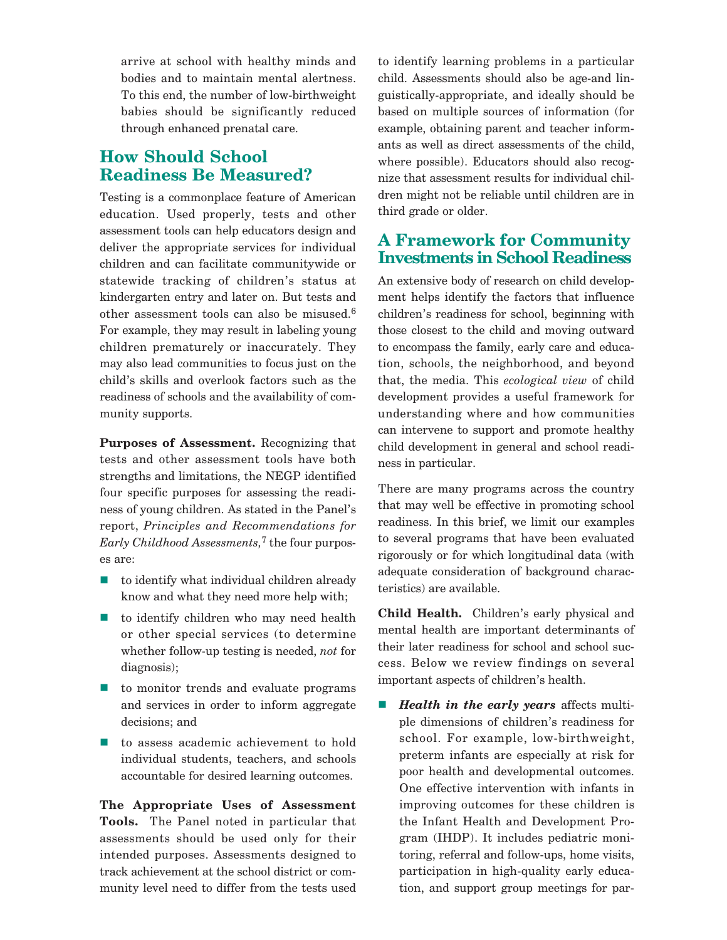arrive at school with healthy minds and bodies and to maintain mental alertness. To this end, the number of low-birthweight babies should be significantly reduced through enhanced prenatal care.

### **How Should School Readiness Be Measured?**

Testing is a commonplace feature of American education. Used properly, tests and other assessment tools can help educators design and deliver the appropriate services for individual children and can facilitate communitywide or statewide tracking of children's status at kindergarten entry and later on. But tests and other assessment tools can also be misused.<sup>6</sup> For example, they may result in labeling young children prematurely or inaccurately. They may also lead communities to focus just on the child's skills and overlook factors such as the readiness of schools and the availability of community supports.

**Purposes of Assessment.** Recognizing that tests and other assessment tools have both strengths and limitations, the NEGP identified four specific purposes for assessing the readiness of young children. As stated in the Panel's report, *Principles and Recommendations for Early Childhood Assessments,*<sup>7</sup> the four purposes are:

- to identify what individual children already know and what they need more help with;
- to identify children who may need health or other special services (to determine whether follow-up testing is needed, *not* for diagnosis);
- $\blacksquare$  to monitor trends and evaluate programs and services in order to inform aggregate decisions; and
- to assess academic achievement to hold individual students, teachers, and schools accountable for desired learning outcomes.

**The Appropriate Uses of Assessment Tools.** The Panel noted in particular that assessments should be used only for their intended purposes. Assessments designed to track achievement at the school district or community level need to differ from the tests used to identify learning problems in a particular child. Assessments should also be age-and linguistically-appropriate, and ideally should be based on multiple sources of information (for example, obtaining parent and teacher informants as well as direct assessments of the child, where possible). Educators should also recognize that assessment results for individual children might not be reliable until children are in third grade or older.

#### **A Framework for Community Investments in School Readiness**

An extensive body of research on child development helps identify the factors that influence children's readiness for school, beginning with those closest to the child and moving outward to encompass the family, early care and education, schools, the neighborhood, and beyond that, the media. This *ecological view* of child development provides a useful framework for understanding where and how communities can intervene to support and promote healthy child development in general and school readiness in particular.

There are many programs across the country that may well be effective in promoting school readiness. In this brief, we limit our examples to several programs that have been evaluated rigorously or for which longitudinal data (with adequate consideration of background characteristics) are available.

**Child Health.** Children's early physical and mental health are important determinants of their later readiness for school and school success. Below we review findings on several important aspects of children's health.

- *Health in the early years* affects multiple dimensions of children's readiness for school. For example, low-birthweight, preterm infants are especially at risk for poor health and developmental outcomes. One effective intervention with infants in improving outcomes for these children is the Infant Health and Development Program (IHDP). It includes pediatric monitoring, referral and follow-ups, home visits, participation in high-quality early education, and support group meetings for par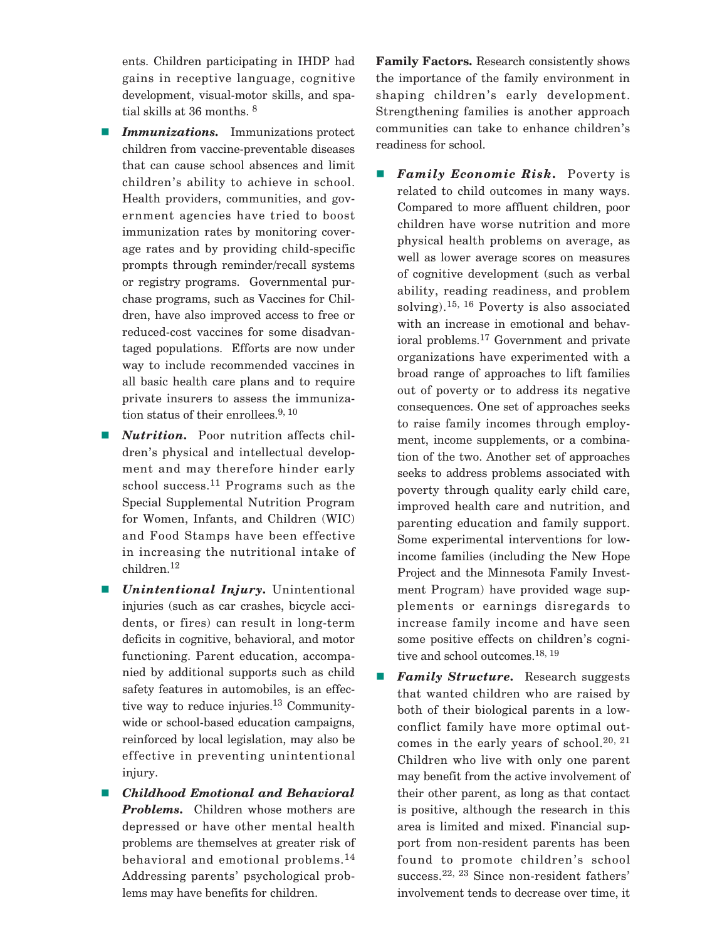ents. Children participating in IHDP had gains in receptive language, cognitive development, visual-motor skills, and spatial skills at 36 months. 8

- - *Immunizations.* Immunizations protect children from vaccine-preventable diseases that can cause school absences and limit children's ability to achieve in school. Health providers, communities, and government agencies have tried to boost immunization rates by monitoring coverage rates and by providing child-specific prompts through reminder/recall systems or registry programs. Governmental purchase programs, such as Vaccines for Children, have also improved access to free or reduced-cost vaccines for some disadvantaged populations. Efforts are now under way to include recommended vaccines in all basic health care plans and to require private insurers to assess the immunization status of their enrollees.<sup>9, 10</sup>
- - *Nutrition.* Poor nutrition affects children's physical and intellectual development and may therefore hinder early school success.<sup>11</sup> Programs such as the Special Supplemental Nutrition Program for Women, Infants, and Children (WIC) and Food Stamps have been effective in increasing the nutritional intake of children.<sup>12</sup>
- - *Unintentional Injury.* Unintentional injuries (such as car crashes, bicycle accidents, or fires) can result in long-term deficits in cognitive, behavioral, and motor functioning. Parent education, accompanied by additional supports such as child safety features in automobiles, is an effective way to reduce injuries.<sup>13</sup> Communitywide or school-based education campaigns, reinforced by local legislation, may also be effective in preventing unintentional injury.
- - *Childhood Emotional and Behavioral Problems.* Children whose mothers are depressed or have other mental health problems are themselves at greater risk of behavioral and emotional problems.<sup>14</sup> Addressing parents' psychological problems may have benefits for children.

**Family Factors.** Research consistently shows the importance of the family environment in shaping children's early development. Strengthening families is another approach communities can take to enhance children's readiness for school.

- - *Family Economic Risk.* Poverty is related to child outcomes in many ways. Compared to more affluent children, poor children have worse nutrition and more physical health problems on average, as well as lower average scores on measures of cognitive development (such as verbal ability, reading readiness, and problem solving).15, 16 Poverty is also associated with an increase in emotional and behavioral problems.17 Government and private organizations have experimented with a broad range of approaches to lift families out of poverty or to address its negative consequences. One set of approaches seeks to raise family incomes through employment, income supplements, or a combination of the two. Another set of approaches seeks to address problems associated with poverty through quality early child care, improved health care and nutrition, and parenting education and family support. Some experimental interventions for lowincome families (including the New Hope Project and the Minnesota Family Investment Program) have provided wage supplements or earnings disregards to increase family income and have seen some positive effects on children's cognitive and school outcomes.<sup>18, 19</sup>
- - *Family Structure.* Research suggests that wanted children who are raised by both of their biological parents in a lowconflict family have more optimal outcomes in the early years of school.<sup>20, 21</sup> Children who live with only one parent may benefit from the active involvement of their other parent, as long as that contact is positive, although the research in this area is limited and mixed. Financial support from non-resident parents has been found to promote children's school success.<sup>22, 23</sup> Since non-resident fathers' involvement tends to decrease over time, it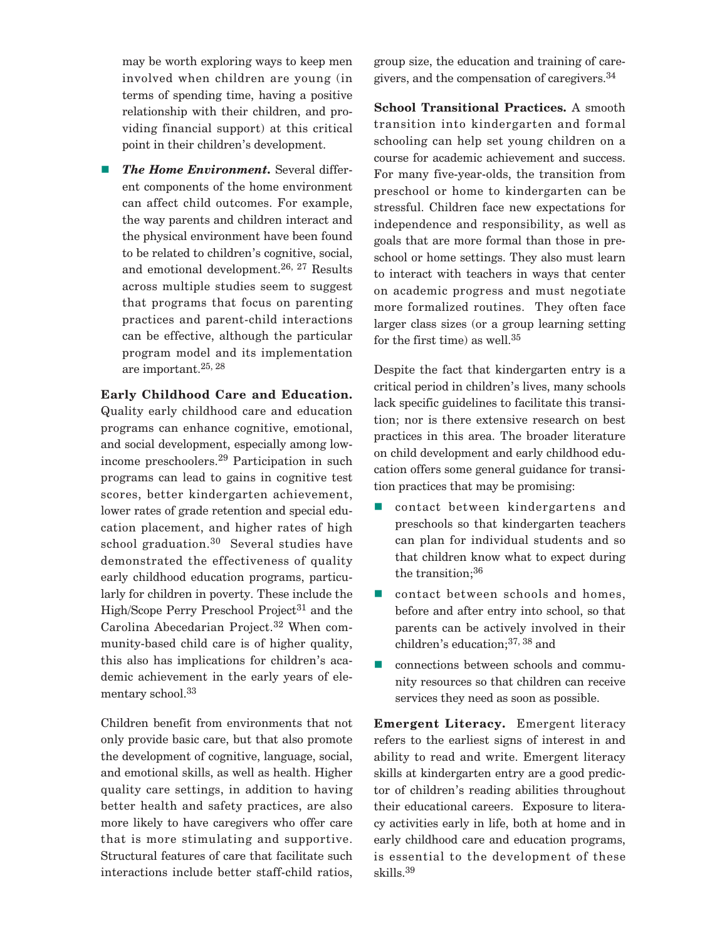may be worth exploring ways to keep men involved when children are young (in terms of spending time, having a positive relationship with their children, and providing financial support) at this critical point in their children's development.

- *The Home Environment.* Several different components of the home environment can affect child outcomes. For example, the way parents and children interact and the physical environment have been found to be related to children's cognitive, social, and emotional development.<sup>26, 27</sup> Results across multiple studies seem to suggest that programs that focus on parenting practices and parent-child interactions can be effective, although the particular program model and its implementation are important.25, 28

**Early Childhood Care and Education.** Quality early childhood care and education programs can enhance cognitive, emotional, and social development, especially among lowincome preschoolers.<sup>29</sup> Participation in such programs can lead to gains in cognitive test scores, better kindergarten achievement, lower rates of grade retention and special education placement, and higher rates of high school graduation. $30$  Several studies have demonstrated the effectiveness of quality early childhood education programs, particularly for children in poverty. These include the High/Scope Perry Preschool Project<sup>31</sup> and the Carolina Abecedarian Project.<sup>32</sup> When community-based child care is of higher quality, this also has implications for children's academic achievement in the early years of elementary school.<sup>33</sup>

Children benefit from environments that not only provide basic care, but that also promote the development of cognitive, language, social, and emotional skills, as well as health. Higher quality care settings, in addition to having better health and safety practices, are also more likely to have caregivers who offer care that is more stimulating and supportive. Structural features of care that facilitate such interactions include better staff-child ratios,

group size, the education and training of caregivers, and the compensation of caregivers.34

**School Transitional Practices.** A smooth transition into kindergarten and formal schooling can help set young children on a course for academic achievement and success. For many five-year-olds, the transition from preschool or home to kindergarten can be stressful. Children face new expectations for independence and responsibility, as well as goals that are more formal than those in preschool or home settings. They also must learn to interact with teachers in ways that center on academic progress and must negotiate more formalized routines. They often face larger class sizes (or a group learning setting for the first time) as well.<sup>35</sup>

Despite the fact that kindergarten entry is a critical period in children's lives, many schools lack specific guidelines to facilitate this transition; nor is there extensive research on best practices in this area. The broader literature on child development and early childhood education offers some general guidance for transition practices that may be promising:

- contact between kindergartens and preschools so that kindergarten teachers can plan for individual students and so that children know what to expect during the transition;<sup>36</sup>
- contact between schools and homes, before and after entry into school, so that parents can be actively involved in their children's education;37, 38 and
- connections between schools and community resources so that children can receive services they need as soon as possible.

**Emergent Literacy.** Emergent literacy refers to the earliest signs of interest in and ability to read and write. Emergent literacy skills at kindergarten entry are a good predictor of children's reading abilities throughout their educational careers. Exposure to literacy activities early in life, both at home and in early childhood care and education programs, is essential to the development of these skills.39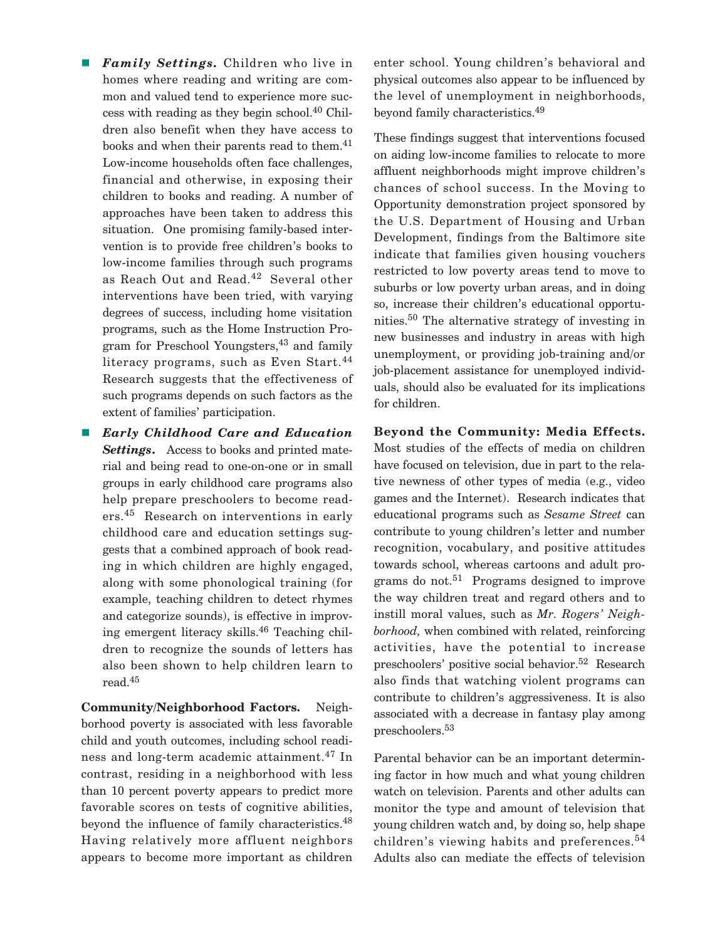- - *Family Settings.* Children who live in homes where reading and writing are common and valued tend to experience more success with reading as they begin school.<sup>40</sup> Children also benefit when they have access to books and when their parents read to them.<sup>41</sup> Low-income households often face challenges, financial and otherwise, in exposing their children to books and reading. A number of approaches have been taken to address this situation. One promising family-based intervention is to provide free children's books to low-income families through such programs as Reach Out and Read.42 Several other interventions have been tried, with varying degrees of success, including home visitation programs, such as the Home Instruction Program for Preschool Youngsters,<sup>43</sup> and family literacy programs, such as Even Start.<sup>44</sup> Research suggests that the effectiveness of such programs depends on such factors as the extent of families' participation.
- *Early Childhood Care and Education Settings***.** Access to books and printed material and being read to one-on-one or in small groups in early childhood care programs also help prepare preschoolers to become readers.<sup>45</sup> Research on interventions in early childhood care and education settings suggests that a combined approach of book reading in which children are highly engaged, along with some phonological training (for example, teaching children to detect rhymes and categorize sounds), is effective in improving emergent literacy skills.<sup>46</sup> Teaching children to recognize the sounds of letters has also been shown to help children learn to read.45

**Community/Neighborhood Factors.** Neighborhood poverty is associated with less favorable child and youth outcomes, including school readiness and long-term academic attainment.<sup>47</sup> In contrast, residing in a neighborhood with less than 10 percent poverty appears to predict more favorable scores on tests of cognitive abilities, beyond the influence of family characteristics.<sup>48</sup> Having relatively more affluent neighbors appears to become more important as children enter school. Young children's behavioral and physical outcomes also appear to be influenced by the level of unemployment in neighborhoods, beyond family characteristics.49

These findings suggest that interventions focused on aiding low-income families to relocate to more affluent neighborhoods might improve children's chances of school success. In the Moving to Opportunity demonstration project sponsored by the U.S. Department of Housing and Urban Development, findings from the Baltimore site indicate that families given housing vouchers restricted to low poverty areas tend to move to suburbs or low poverty urban areas, and in doing so, increase their children's educational opportunities.<sup>50</sup> The alternative strategy of investing in new businesses and industry in areas with high unemployment, or providing job-training and/or job-placement assistance for unemployed individuals, should also be evaluated for its implications for children.

**Beyond the Community: Media Effects.** Most studies of the effects of media on children have focused on television, due in part to the relative newness of other types of media (e.g., video games and the Internet). Research indicates that educational programs such as *Sesame Street* can contribute to young children's letter and number recognition, vocabulary, and positive attitudes towards school, whereas cartoons and adult programs do not.<sup>51</sup> Programs designed to improve the way children treat and regard others and to instill moral values, such as *Mr. Rogers' Neighborhood,* when combined with related, reinforcing activities, have the potential to increase preschoolers' positive social behavior.52 Research also finds that watching violent programs can contribute to children's aggressiveness. It is also associated with a decrease in fantasy play among preschoolers.<sup>53</sup>

Parental behavior can be an important determining factor in how much and what young children watch on television. Parents and other adults can monitor the type and amount of television that young children watch and, by doing so, help shape children's viewing habits and preferences.<sup>54</sup> Adults also can mediate the effects of television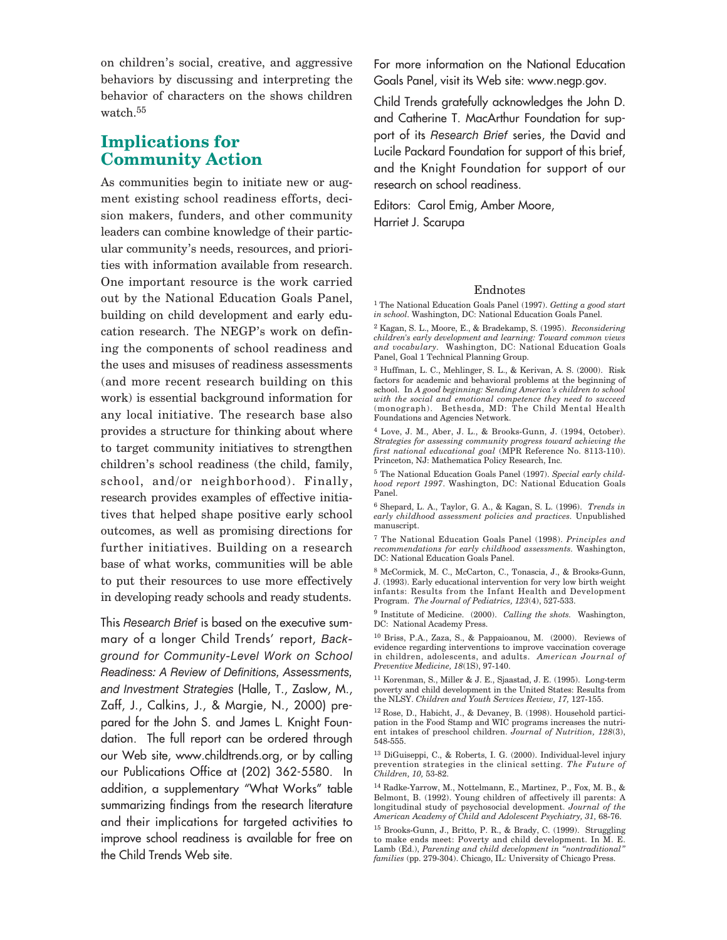on children's social, creative, and aggressive behaviors by discussing and interpreting the behavior of characters on the shows children watch.<sup>55</sup>

#### **Implications for Community Action**

As communities begin to initiate new or augment existing school readiness efforts, decision makers, funders, and other community leaders can combine knowledge of their particular community's needs, resources, and priorities with information available from research. One important resource is the work carried out by the National Education Goals Panel, building on child development and early education research. The NEGP's work on defining the components of school readiness and the uses and misuses of readiness assessments (and more recent research building on this work) is essential background information for any local initiative. The research base also provides a structure for thinking about where to target community initiatives to strengthen children's school readiness (the child, family, school, and/or neighborhood). Finally, research provides examples of effective initiatives that helped shape positive early school outcomes, as well as promising directions for further initiatives. Building on a research base of what works, communities will be able to put their resources to use more effectively in developing ready schools and ready students.

This *Research Brief* is based on the executive summary of a longer Child Trends' report, *Background for Community-Level Work on School Readiness: A Review of Definitions, Assessments, and Investment Strategies* (Halle, T., Zaslow, M., Zaff, J., Calkins, J., & Margie, N., 2000) prepared for the John S. and James L. Knight Foundation. The full report can be ordered through our Web site, www.childtrends.org, or by calling our Publications Office at (202) 362-5580. In addition, a supplementary "What Works" table summarizing findings from the research literature and their implications for targeted activities to improve school readiness is available for free on the Child Trends Web site.

For more information on the National Education Goals Panel, visit its Web site: www.negp.gov.

Child Trends gratefully acknowledges the John D. and Catherine T. MacArthur Foundation for support of its *Research Brief* series, the David and Lucile Packard Foundation for support of this brief, and the Knight Foundation for support of our research on school readiness.

Editors: Carol Emig, Amber Moore, Harriet J. Scarupa

Endnotes 1 The National Education Goals Panel (1997). *Getting a good start in school.* Washington, DC: National Education Goals Panel.

<sup>2</sup> Kagan, S. L., Moore, E., & Bradekamp, S. (1995). *Reconsidering children's early development and learning: Toward common views and vocabulary.* Washington, DC: National Education Goals Panel, Goal 1 Technical Planning Group.

<sup>3</sup> Huffman, L. C., Mehlinger, S. L., & Kerivan, A. S. (2000). Risk factors for academic and behavioral problems at the beginning of school. In *A good beginning: Sending America's children to school with the social and emotional competence they need to succeed* (monograph). Bethesda, MD: The Child Mental Health Foundations and Agencies Network.

<sup>4</sup> Love, J. M., Aber, J. L., & Brooks-Gunn, J. (1994, October). *Strategies for assessing community progress toward achieving the first national educational goal* (MPR Reference No. 8113-110). Princeton, NJ: Mathematica Policy Research, Inc.

<sup>5</sup> The National Education Goals Panel (1997). *Special early childhood report 1997*. Washington, DC: National Education Goals Panel.

<sup>6</sup> Shepard, L. A., Taylor, G. A., & Kagan, S. L. (1996). *Trends in early childhood assessment policies and practices.* Unpublished manuscript.

<sup>7</sup> The National Education Goals Panel (1998). *Principles and recommendations for early childhood assessments.* Washington, DC: National Education Goals Panel.

<sup>8</sup> McCormick, M. C., McCarton, C., Tonascia, J., & Brooks-Gunn, J. (1993). Early educational intervention for very low birth weight infants: Results from the Infant Health and Development Program. *The Journal of Pediatrics, 123*(4), 527-533.

<sup>9</sup> Institute of Medicine. (2000). *Calling the shots.* Washington, DC: National Academy Press.

<sup>10</sup> Briss, P.A., Zaza, S., & Pappaioanou, M. (2000). Reviews of evidence regarding interventions to improve vaccination coverage in children, adolescents, and adults. *American Journal of Preventive Medicine, 18*(1S), 97-140.

<sup>11</sup> Korenman, S., Miller & J. E., Sjaastad, J. E. (1995). Long-term poverty and child development in the United States: Results from the NLSY. *Children and Youth Services Review, 17,* 127-155.

 $^{12}$  Rose, D., Habicht, J., & Devaney, B. (1998). Household participation in the Food Stamp and WIC programs increases the nutrient intakes of preschool children. *Journal of Nutrition, 128*(3), 548-555.

 $^{13}$  DiGuiseppi, C., & Roberts, I. G. (2000). Individual-level injury prevention strategies in the clinical setting. *The Future of Children, 10,* 53-82.

<sup>14</sup> Radke-Yarrow, M., Nottelmann, E., Martinez, P., Fox, M. B., & Belmont, B. (1992). Young children of affectively ill parents: A longitudinal study of psychosocial development. *Journal of the American Academy of Child and Adolescent Psychiatry, 31,* 68-76.

<sup>15</sup> Brooks-Gunn, J., Britto, P. R., & Brady, C. (1999). Struggling to make ends meet: Poverty and child development. In M. E. Lamb (Ed.), *Parenting and child development in "nontraditional" families* (pp. 279-304). Chicago, IL: University of Chicago Press.